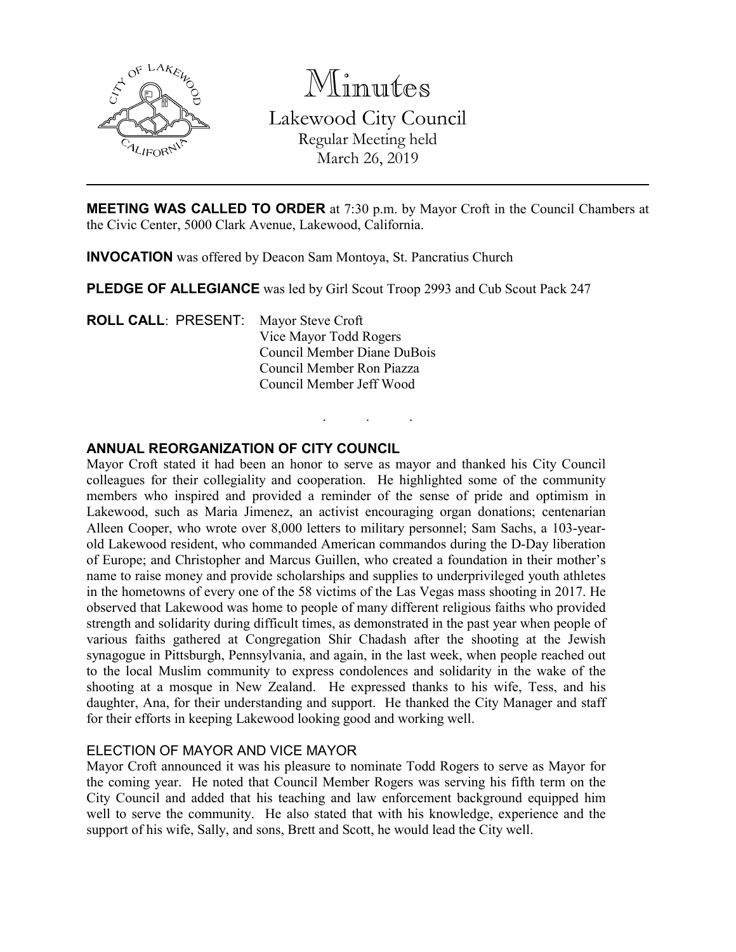

Minutes Lakewood City Council Regular Meeting held March 26, 2019

**MEETING WAS CALLED TO ORDER** at 7:30 p.m. by Mayor Croft in the Council Chambers at the Civic Center, 5000 Clark Avenue, Lakewood, California.

. . .

**INVOCATION** was offered by Deacon Sam Montoya, St. Pancratius Church

**PLEDGE OF ALLEGIANCE** was led by Girl Scout Troop 2993 and Cub Scout Pack 247

**ROLL CALL**: PRESENT: Mayor Steve Croft Vice Mayor Todd Rogers Council Member Diane DuBois Council Member Ron Piazza Council Member Jeff Wood

### **ANNUAL REORGANIZATION OF CITY COUNCIL**

Mayor Croft stated it had been an honor to serve as mayor and thanked his City Council colleagues for their collegiality and cooperation. He highlighted some of the community members who inspired and provided a reminder of the sense of pride and optimism in Lakewood, such as Maria Jimenez, an activist encouraging organ donations; centenarian Alleen Cooper, who wrote over 8,000 letters to military personnel; Sam Sachs, a 103-yearold Lakewood resident, who commanded American commandos during the D-Day liberation of Europe; and Christopher and Marcus Guillen, who created a foundation in their mother's name to raise money and provide scholarships and supplies to underprivileged youth athletes in the hometowns of every one of the 58 victims of the Las Vegas mass shooting in 2017. He observed that Lakewood was home to people of many different religious faiths who provided strength and solidarity during difficult times, as demonstrated in the past year when people of various faiths gathered at Congregation Shir Chadash after the shooting at the Jewish synagogue in Pittsburgh, Pennsylvania, and again, in the last week, when people reached out to the local Muslim community to express condolences and solidarity in the wake of the shooting at a mosque in New Zealand. He expressed thanks to his wife, Tess, and his daughter, Ana, for their understanding and support. He thanked the City Manager and staff for their efforts in keeping Lakewood looking good and working well.

#### ELECTION OF MAYOR AND VICE MAYOR

Mayor Croft announced it was his pleasure to nominate Todd Rogers to serve as Mayor for the coming year. He noted that Council Member Rogers was serving his fifth term on the City Council and added that his teaching and law enforcement background equipped him well to serve the community. He also stated that with his knowledge, experience and the support of his wife, Sally, and sons, Brett and Scott, he would lead the City well.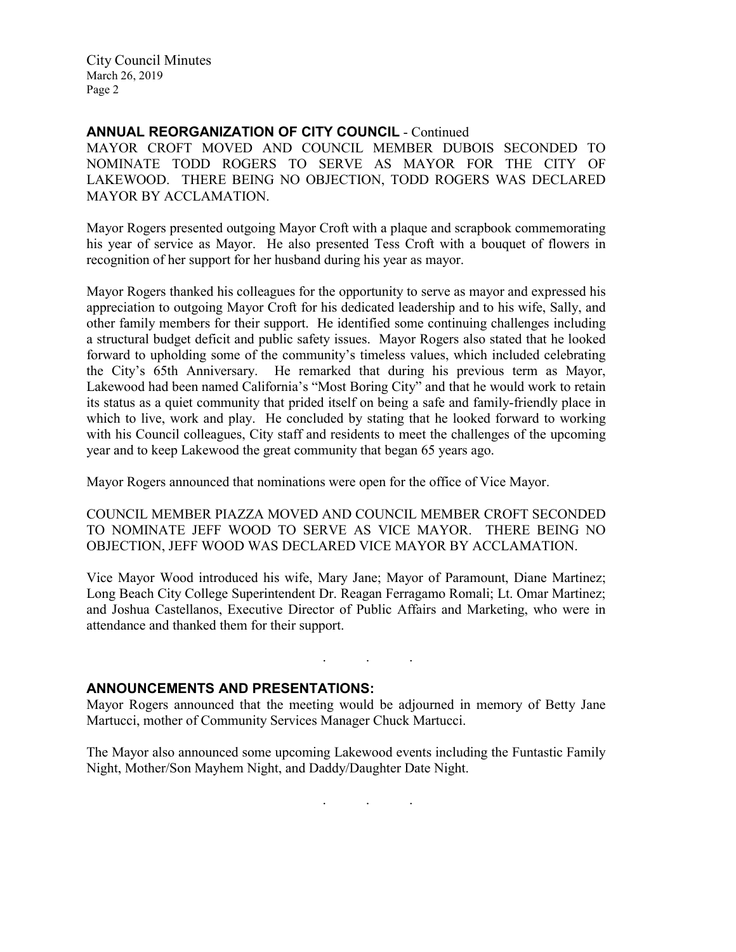### **ANNUAL REORGANIZATION OF CITY COUNCIL** - Continued

MAYOR CROFT MOVED AND COUNCIL MEMBER DUBOIS SECONDED TO NOMINATE TODD ROGERS TO SERVE AS MAYOR FOR THE CITY OF LAKEWOOD. THERE BEING NO OBJECTION, TODD ROGERS WAS DECLARED MAYOR BY ACCLAMATION.

Mayor Rogers presented outgoing Mayor Croft with a plaque and scrapbook commemorating his year of service as Mayor. He also presented Tess Croft with a bouquet of flowers in recognition of her support for her husband during his year as mayor.

Mayor Rogers thanked his colleagues for the opportunity to serve as mayor and expressed his appreciation to outgoing Mayor Croft for his dedicated leadership and to his wife, Sally, and other family members for their support. He identified some continuing challenges including a structural budget deficit and public safety issues. Mayor Rogers also stated that he looked forward to upholding some of the community's timeless values, which included celebrating the City's 65th Anniversary. He remarked that during his previous term as Mayor, Lakewood had been named California's "Most Boring City" and that he would work to retain its status as a quiet community that prided itself on being a safe and family-friendly place in which to live, work and play. He concluded by stating that he looked forward to working with his Council colleagues, City staff and residents to meet the challenges of the upcoming year and to keep Lakewood the great community that began 65 years ago.

Mayor Rogers announced that nominations were open for the office of Vice Mayor.

COUNCIL MEMBER PIAZZA MOVED AND COUNCIL MEMBER CROFT SECONDED TO NOMINATE JEFF WOOD TO SERVE AS VICE MAYOR. THERE BEING NO OBJECTION, JEFF WOOD WAS DECLARED VICE MAYOR BY ACCLAMATION.

Vice Mayor Wood introduced his wife, Mary Jane; Mayor of Paramount, Diane Martinez; Long Beach City College Superintendent Dr. Reagan Ferragamo Romali; Lt. Omar Martinez; and Joshua Castellanos, Executive Director of Public Affairs and Marketing, who were in attendance and thanked them for their support.

# **ANNOUNCEMENTS AND PRESENTATIONS:**

Mayor Rogers announced that the meeting would be adjourned in memory of Betty Jane Martucci, mother of Community Services Manager Chuck Martucci.

. . .

The Mayor also announced some upcoming Lakewood events including the Funtastic Family Night, Mother/Son Mayhem Night, and Daddy/Daughter Date Night.

. . .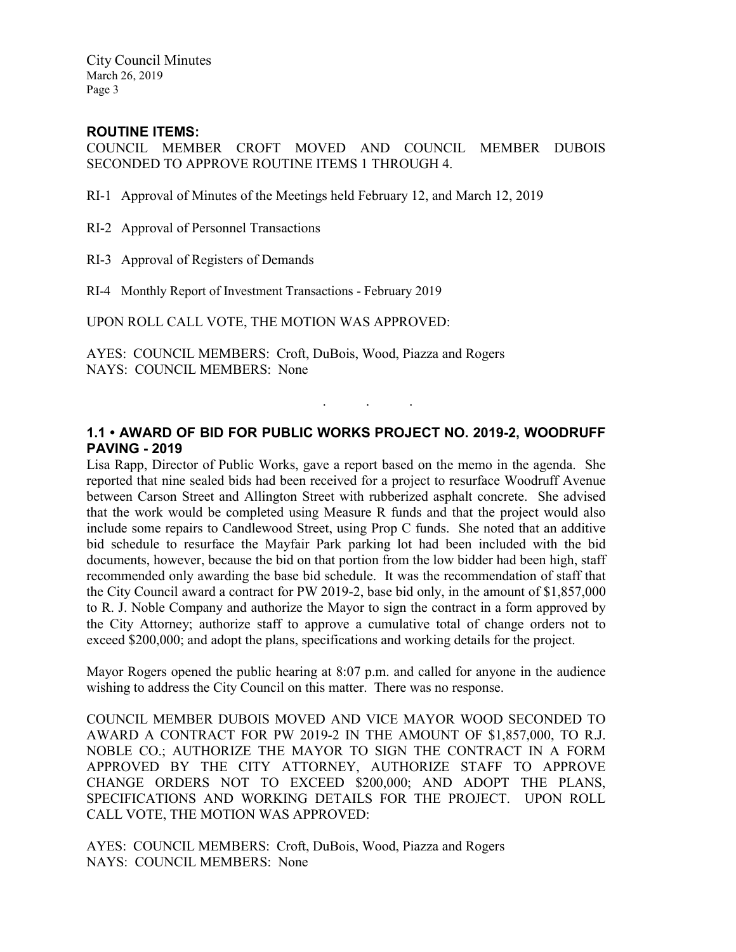# **ROUTINE ITEMS:**

COUNCIL MEMBER CROFT MOVED AND COUNCIL MEMBER DUBOIS SECONDED TO APPROVE ROUTINE ITEMS 1 THROUGH 4.

RI-1 Approval of Minutes of the Meetings held February 12, and March 12, 2019

RI-2 Approval of Personnel Transactions

RI-3 Approval of Registers of Demands

RI-4 Monthly Report of Investment Transactions - February 2019

UPON ROLL CALL VOTE, THE MOTION WAS APPROVED:

AYES: COUNCIL MEMBERS: Croft, DuBois, Wood, Piazza and Rogers NAYS: COUNCIL MEMBERS: None

### **1.1 • AWARD OF BID FOR PUBLIC WORKS PROJECT NO. 2019-2, WOODRUFF PAVING - 2019**

. . .

Lisa Rapp, Director of Public Works, gave a report based on the memo in the agenda. She reported that nine sealed bids had been received for a project to resurface Woodruff Avenue between Carson Street and Allington Street with rubberized asphalt concrete. She advised that the work would be completed using Measure R funds and that the project would also include some repairs to Candlewood Street, using Prop C funds. She noted that an additive bid schedule to resurface the Mayfair Park parking lot had been included with the bid documents, however, because the bid on that portion from the low bidder had been high, staff recommended only awarding the base bid schedule. It was the recommendation of staff that the City Council award a contract for PW 2019-2, base bid only, in the amount of \$1,857,000 to R. J. Noble Company and authorize the Mayor to sign the contract in a form approved by the City Attorney; authorize staff to approve a cumulative total of change orders not to exceed \$200,000; and adopt the plans, specifications and working details for the project.

Mayor Rogers opened the public hearing at 8:07 p.m. and called for anyone in the audience wishing to address the City Council on this matter. There was no response.

COUNCIL MEMBER DUBOIS MOVED AND VICE MAYOR WOOD SECONDED TO AWARD A CONTRACT FOR PW 2019-2 IN THE AMOUNT OF \$1,857,000, TO R.J. NOBLE CO.; AUTHORIZE THE MAYOR TO SIGN THE CONTRACT IN A FORM APPROVED BY THE CITY ATTORNEY, AUTHORIZE STAFF TO APPROVE CHANGE ORDERS NOT TO EXCEED \$200,000; AND ADOPT THE PLANS, SPECIFICATIONS AND WORKING DETAILS FOR THE PROJECT. UPON ROLL CALL VOTE, THE MOTION WAS APPROVED:

AYES: COUNCIL MEMBERS: Croft, DuBois, Wood, Piazza and Rogers NAYS: COUNCIL MEMBERS: None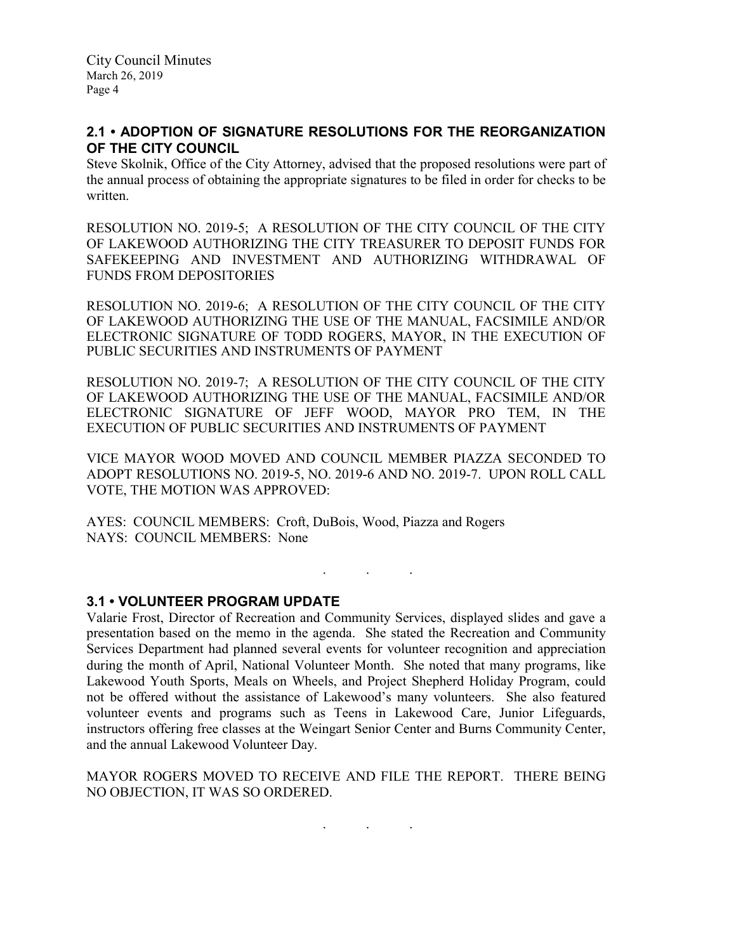# **2.1 • ADOPTION OF SIGNATURE RESOLUTIONS FOR THE REORGANIZATION OF THE CITY COUNCIL**

Steve Skolnik, Office of the City Attorney, advised that the proposed resolutions were part of the annual process of obtaining the appropriate signatures to be filed in order for checks to be written.

RESOLUTION NO. 2019-5; A RESOLUTION OF THE CITY COUNCIL OF THE CITY OF LAKEWOOD AUTHORIZING THE CITY TREASURER TO DEPOSIT FUNDS FOR SAFEKEEPING AND INVESTMENT AND AUTHORIZING WITHDRAWAL OF FUNDS FROM DEPOSITORIES

RESOLUTION NO. 2019-6; A RESOLUTION OF THE CITY COUNCIL OF THE CITY OF LAKEWOOD AUTHORIZING THE USE OF THE MANUAL, FACSIMILE AND/OR ELECTRONIC SIGNATURE OF TODD ROGERS, MAYOR, IN THE EXECUTION OF PUBLIC SECURITIES AND INSTRUMENTS OF PAYMENT

RESOLUTION NO. 2019-7; A RESOLUTION OF THE CITY COUNCIL OF THE CITY OF LAKEWOOD AUTHORIZING THE USE OF THE MANUAL, FACSIMILE AND/OR ELECTRONIC SIGNATURE OF JEFF WOOD, MAYOR PRO TEM, IN THE EXECUTION OF PUBLIC SECURITIES AND INSTRUMENTS OF PAYMENT

VICE MAYOR WOOD MOVED AND COUNCIL MEMBER PIAZZA SECONDED TO ADOPT RESOLUTIONS NO. 2019-5, NO. 2019-6 AND NO. 2019-7. UPON ROLL CALL VOTE, THE MOTION WAS APPROVED:

AYES: COUNCIL MEMBERS: Croft, DuBois, Wood, Piazza and Rogers NAYS: COUNCIL MEMBERS: None

. . .

# **3.1 • VOLUNTEER PROGRAM UPDATE**

Valarie Frost, Director of Recreation and Community Services, displayed slides and gave a presentation based on the memo in the agenda. She stated the Recreation and Community Services Department had planned several events for volunteer recognition and appreciation during the month of April, National Volunteer Month. She noted that many programs, like Lakewood Youth Sports, Meals on Wheels, and Project Shepherd Holiday Program, could not be offered without the assistance of Lakewood's many volunteers. She also featured volunteer events and programs such as Teens in Lakewood Care, Junior Lifeguards, instructors offering free classes at the Weingart Senior Center and Burns Community Center, and the annual Lakewood Volunteer Day.

MAYOR ROGERS MOVED TO RECEIVE AND FILE THE REPORT. THERE BEING NO OBJECTION, IT WAS SO ORDERED.

. . .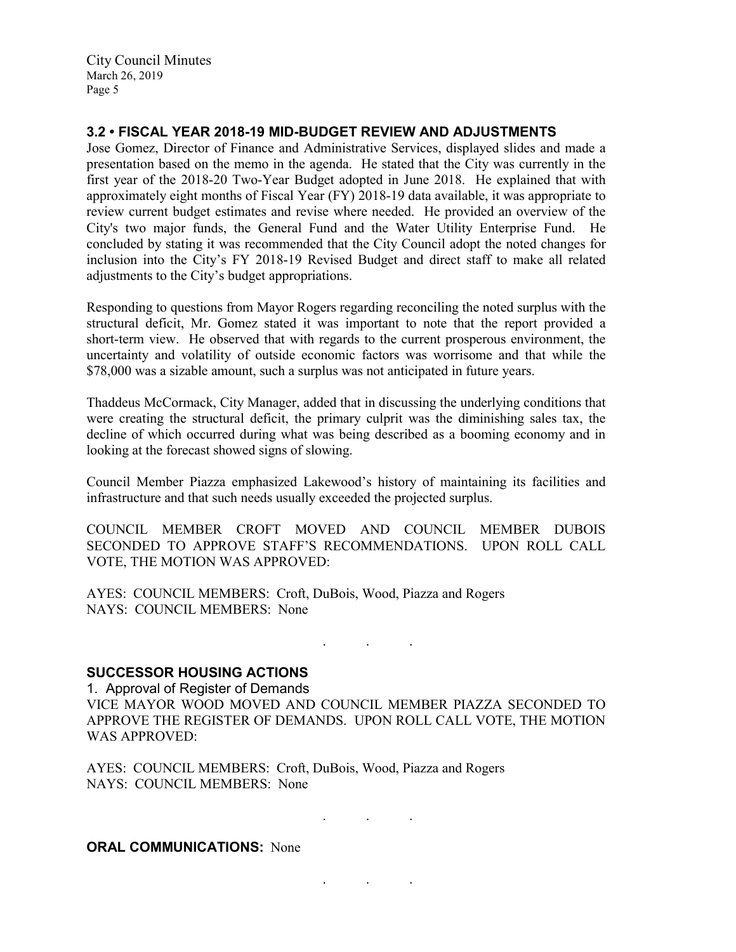# **3.2 • FISCAL YEAR 2018-19 MID-BUDGET REVIEW AND ADJUSTMENTS**

Jose Gomez, Director of Finance and Administrative Services, displayed slides and made a presentation based on the memo in the agenda. He stated that the City was currently in the first year of the 2018-20 Two-Year Budget adopted in June 2018. He explained that with approximately eight months of Fiscal Year (FY) 2018-19 data available, it was appropriate to review current budget estimates and revise where needed. He provided an overview of the City's two major funds, the General Fund and the Water Utility Enterprise Fund. He concluded by stating it was recommended that the City Council adopt the noted changes for inclusion into the City's FY 2018-19 Revised Budget and direct staff to make all related adjustments to the City's budget appropriations.

Responding to questions from Mayor Rogers regarding reconciling the noted surplus with the structural deficit, Mr. Gomez stated it was important to note that the report provided a short-term view. He observed that with regards to the current prosperous environment, the uncertainty and volatility of outside economic factors was worrisome and that while the \$78,000 was a sizable amount, such a surplus was not anticipated in future years.

Thaddeus McCormack, City Manager, added that in discussing the underlying conditions that were creating the structural deficit, the primary culprit was the diminishing sales tax, the decline of which occurred during what was being described as a booming economy and in looking at the forecast showed signs of slowing.

Council Member Piazza emphasized Lakewood's history of maintaining its facilities and infrastructure and that such needs usually exceeded the projected surplus.

COUNCIL MEMBER CROFT MOVED AND COUNCIL MEMBER DUBOIS SECONDED TO APPROVE STAFF'S RECOMMENDATIONS. UPON ROLL CALL VOTE, THE MOTION WAS APPROVED:

AYES: COUNCIL MEMBERS: Croft, DuBois, Wood, Piazza and Rogers NAYS: COUNCIL MEMBERS: None

. . .

. . .

. . .

### **SUCCESSOR HOUSING ACTIONS**

1. Approval of Register of Demands VICE MAYOR WOOD MOVED AND COUNCIL MEMBER PIAZZA SECONDED TO APPROVE THE REGISTER OF DEMANDS. UPON ROLL CALL VOTE, THE MOTION WAS APPROVED:

AYES: COUNCIL MEMBERS: Croft, DuBois, Wood, Piazza and Rogers NAYS: COUNCIL MEMBERS: None

#### **ORAL COMMUNICATIONS: None**